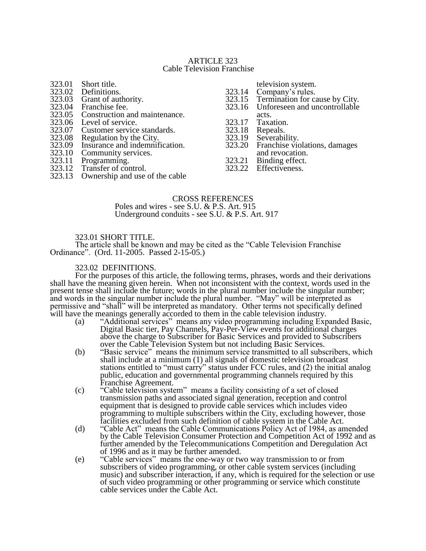#### ARTICLE 323 Cable Television Franchise

- 323.01 Short title.<br>323.02 Definitions 323.02 Definitions.<br>323.03 Grant of aut 323.03 Grant of authority.<br>323.04 Franchise fee. 323.04 Franchise fee.<br>323.05 Construction a 323.05 Construction and maintenance.<br>323.06 Level of service. 323.06 Level of service.<br>323.07 Customer service 323.07 Customer service standards.<br>323.08 Regulation by the City. 323.08 Regulation by the City.<br>323.09 Insurance and indemnif 323.09 Insurance and indemnification.<br>323.10 Community services. 323.10 Community services.<br>323.11 Programming. 323.11 Programming.<br>323.12 Transfer of con Transfer of control. 323.13 Ownership and use of the cable
- television system.
- 323.14 Company's rules.<br>323.15 Termination for ca
- 323.15 Termination for cause by City.<br>323.16 Unforeseen and uncontrollable
- Unforeseen and uncontrollable
- acts.
- 323.17 Taxation.<br>323.18 Repeals.
- 323.18 Repeals.<br>323.19 Severabi
- 323.19 Severability.<br>323.20 Franchise vic
- Franchise violations, damages and revocation.
- 323.21 Binding effect.<br>323.22 Effectiveness.
- Effectiveness.

#### CROSS REFERENCES

 Poles and wires - see S.U. & P.S. Art. 915 Underground conduits - see S.U. & P.S. Art. 917

#### 323.01 SHORT TITLE.

The article shall be known and may be cited as the "Cable Television Franchise Ordinance". (Ord. 11-2005. Passed 2-15-05.)

### 323.02 DEFINITIONS.

For the purposes of this article, the following terms, phrases, words and their derivations shall have the meaning given herein. When not inconsistent with the context, words used in the present tense shall include the future; words in the plural number include the singular number; and words in the singular number include the plural number. "May" will be interpreted as permissive and "shall" will be interpreted as mandatory. Other terms not specifically defined will have the meanings generally accorded to them in the cable television industry.

- (a) "Additional services" means any video programming including Expanded Basic, Digital Basic tier, Pay Channels, Pay-Per-View events for additional charges above the charge to Subscriber for Basic Services and provided to Subscribers over the Cable Television System but not including Basic Services.
- (b) "Basic service" means the minimum service transmitted to all subscribers, which shall include at a minimum (1) all signals of domestic television broadcast stations entitled to "must carry" status under FCC rules, and (2) the initial analog public, education and governmental programming channels required by this Franchise Agreement.
- (c) "Cable television system" means a facility consisting of a set of closed transmission paths and associated signal generation, reception and control equipment that is designed to provide cable services which includes video programming to multiple subscribers within the City, excluding however, those facilities excluded from such definition of cable system in the Cable Act.
- (d) "Cable Act" means the Cable Communications Policy Act of 1984, as amended by the Cable Television Consumer Protection and Competition Act of 1992 and as further amended by the Telecommunications Competition and Deregulation Act of 1996 and as it may be further amended.
- (e) "Cable services" means the one-way or two way transmission to or from subscribers of video programming, or other cable system services (including music) and subscriber interaction, if any, which is required for the selection or use of such video programming or other programming or service which constitute cable services under the Cable Act.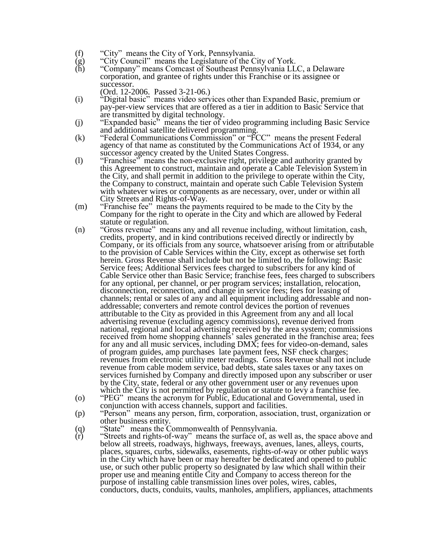- 
- (f) "City" means the City of York, Pennsylvania.<br>
(g) "City Council" means the Legislature of the C<br>
(h) "Company" means Comcast of Southeast Penn "City Council" means the Legislature of the City of York.
- "Company" means Comcast of Southeast Pennsylvania LLC, a Delaware corporation, and grantee of rights under this Franchise or its assignee or successor.
	- (Ord. 12-2006. Passed 3-21-06.)
- (i) "Digital basic" means video services other than Expanded Basic, premium or pay-per-view services that are offered as a tier in addition to Basic Service that are transmitted by digital technology.
- (j) "Expanded basic" means the tier of video programming including Basic Service and additional satellite delivered programming.
- (k) "Federal Communications Commission" or "FCC" means the present Federal agency of that name as constituted by the Communications Act of 1934, or any successor agency created by the United States Congress.
- (l) "Franchise" means the non-exclusive right, privilege and authority granted by this Agreement to construct, maintain and operate a Cable Television System in the City, and shall permit in addition to the privilege to operate within the City, the Company to construct, maintain and operate such Cable Television System with whatever wires or components as are necessary, over, under or within all City Streets and Rights-of-Way.
- (m) "Franchise fee" means the payments required to be made to the City by the Company for the right to operate in the City and which are allowed by Federal statute or regulation.
- (n) "Gross revenue" means any and all revenue including, without limitation, cash, credits, property, and in kind contributions received directly or indirectly by Company, or its officials from any source, whatsoever arising from or attributable to the provision of Cable Services within the City, except as otherwise set forth herein. Gross Revenue shall include but not be limited to, the following: Basic Service fees; Additional Services fees charged to subscribers for any kind of Cable Service other than Basic Service; franchise fees, fees charged to subscribers for any optional, per channel, or per program services; installation, relocation, disconnection, reconnection, and change in service fees; fees for leasing of channels; rental or sales of any and all equipment including addressable and nonaddressable; converters and remote control devices the portion of revenues attributable to the City as provided in this Agreement from any and all local advertising revenue (excluding agency commissions), revenue derived from national, regional and local advertising received by the area system; commissions received from home shopping channels' sales generated in the franchise area; fees for any and all music services, including DMX; fees for video-on-demand, sales of program guides, amp purchases late payment fees, NSF check charges; revenues from electronic utility meter readings. Gross Revenue shall not include revenue from cable modem service, bad debts, state sales taxes or any taxes on services furnished by Company and directly imposed upon any subscriber or user by the City, state, federal or any other government user or any revenues upon which the City is not permitted by regulation or statute to levy a franchise fee.
- (o) "PEG" means the acronym for Public, Educational and Governmental, used in conjunction with access channels, support and facilities.
- (p) "Person" means any person, firm, corporation, association, trust, organization or other business entity.
- (q) "State" means the Commonwealth of Pennsylvania.<br>
"Streets and rights-of-way" means the surface of, as
- (r) "Streets and rights-of-way" means the surface of, as well as, the space above and below all streets, roadways, highways, freeways, avenues, lanes, alleys, courts, places, squares, curbs, sidewalks, easements, rights-of-way or other public ways in the City which have been or may hereafter be dedicated and opened to public use, or such other public property so designated by law which shall within their proper use and meaning entitle City and Company to access thereon for the purpose of installing cable transmission lines over poles, wires, cables, conductors, ducts, conduits, vaults, manholes, amplifiers, appliances, attachments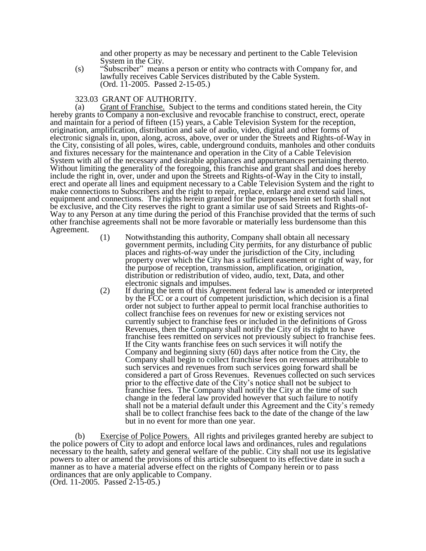and other property as may be necessary and pertinent to the Cable Television System in the City.

(s) "Subscriber" means a person or entity who contracts with Company for, and lawfully receives Cable Services distributed by the Cable System. (Ord. 11-2005. Passed 2-15-05.)

# 323.03 GRANT OF AUTHORITY.

(a) Grant of Franchise. Subject to the terms and conditions stated herein, the City hereby grants to Company a non-exclusive and revocable franchise to construct, erect, operate and maintain for a period of fifteen (15) years, a Cable Television System for the reception, origination, amplification, distribution and sale of audio, video, digital and other forms of electronic signals in, upon, along, across, above, over or under the Streets and Rights-of-Way in the City, consisting of all poles, wires, cable, underground conduits, manholes and other conduits and fixtures necessary for the maintenance and operation in the City of a Cable Television System with all of the necessary and desirable appliances and appurtenances pertaining thereto. Without limiting the generality of the foregoing, this franchise and grant shall and does hereby include the right in, over, under and upon the Streets and Rights-of-Way in the City to install, erect and operate all lines and equipment necessary to a Cable Television System and the right to make connections to Subscribers and the right to repair, replace, enlarge and extend said lines, equipment and connections. The rights herein granted for the purposes herein set forth shall not be exclusive, and the City reserves the right to grant a similar use of said Streets and Rights-of-Way to any Person at any time during the period of this Franchise provided that the terms of such other franchise agreements shall not be more favorable or materially less burdensome than this Agreement.

- (1) Notwithstanding this authority, Company shall obtain all necessary government permits, including City permits, for any disturbance of public places and rights-of-way under the jurisdiction of the City, including property over which the City has a sufficient easement or right of way, for the purpose of reception, transmission, amplification, origination, distribution or redistribution of video, audio, text, Data, and other electronic signals and impulses.
- (2) If during the term of this Agreement federal law is amended or interpreted by the FCC or a court of competent jurisdiction, which decision is a final order not subject to further appeal to permit local franchise authorities to collect franchise fees on revenues for new or existing services not currently subject to franchise fees or included in the definitions of Gross Revenues, then the Company shall notify the City of its right to have franchise fees remitted on services not previously subject to franchise fees. If the City wants franchise fees on such services it will notify the Company and beginning sixty (60) days after notice from the City, the Company shall begin to collect franchise fees on revenues attributable to such services and revenues from such services going forward shall be considered a part of Gross Revenues. Revenues collected on such services prior to the effective date of the City's notice shall not be subject to franchise fees. The Company shall notify the City at the time of such change in the federal law provided however that such failure to notify shall not be a material default under this Agreement and the City's remedy shall be to collect franchise fees back to the date of the change of the law but in no event for more than one year.

(b) Exercise of Police Powers. All rights and privileges granted hereby are subject to the police powers of City to adopt and enforce local laws and ordinances, rules and regulations necessary to the health, safety and general welfare of the public. City shall not use its legislative powers to alter or amend the provisions of this article subsequent to its effective date in such a manner as to have a material adverse effect on the rights of Company herein or to pass ordinances that are only applicable to Company. (Ord. 11-2005. Passed 2-15-05.)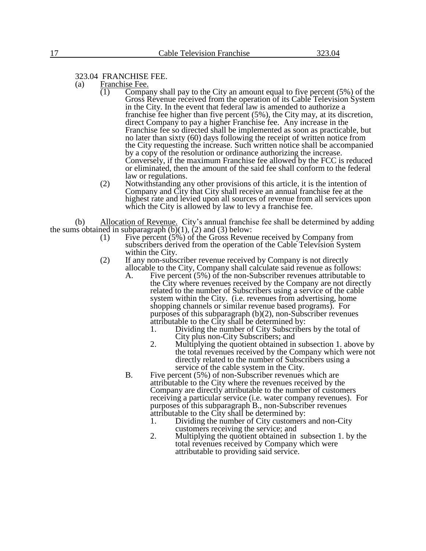323.04 FRANCHISE FEE.

- (a) Franchise Fee.
	- (1) Company shall pay to the City an amount equal to five percent (5%) of the Gross Revenue received from the operation of its Cable Television System in the City. In the event that federal law is amended to authorize a franchise fee higher than five percent (5%), the City may, at its discretion, direct Company to pay a higher Franchise fee. Any increase in the Franchise fee so directed shall be implemented as soon as practicable, but no later than sixty (60) days following the receipt of written notice from the City requesting the increase. Such written notice shall be accompanied by a copy of the resolution or ordinance authorizing the increase. Conversely, if the maximum Franchise fee allowed by the FCC is reduced or eliminated, then the amount of the said fee shall conform to the federal law or regulations.
	- (2) Notwithstanding any other provisions of this article, it is the intention of Company and City that City shall receive an annual franchise fee at the highest rate and levied upon all sources of revenue from all services upon which the City is allowed by law to levy a franchise fee.

(b) Allocation of Revenue. City's annual franchise fee shall be determined by adding the sums obtained in subparagraph  $(b)(1)$ ,  $(2)$  and  $(3)$  below:

- (1) Five percent (5%) of the Gross Revenue received by Company from subscribers derived from the operation of the Cable Television System within the City.
- (2) If any non-subscriber revenue received by Company is not directly allocable to the City, Company shall calculate said revenue as follows:
	- A. Five percent (5%) of the non-Subscriber revenues attributable to the City where revenues received by the Company are not directly related to the number of Subscribers using a service of the cable system within the City. (i.e. revenues from advertising, home shopping channels or similar revenue based programs). For purposes of this subparagraph (b)(2), non-Subscriber revenues attributable to the City shall be determined by:
		- 1. Dividing the number of City Subscribers by the total of City plus non-City Subscribers; and
		- 2. Multiplying the quotient obtained in subsection 1. above by the total revenues received by the Company which were not directly related to the number of Subscribers using a service of the cable system in the City.
	- B. Five percent (5%) of non-Subscriber revenues which are attributable to the City where the revenues received by the Company are directly attributable to the number of customers receiving a particular service (i.e. water company revenues). For purposes of this subparagraph B., non-Subscriber revenues attributable to the City shall be determined by:
		- 1. Dividing the number of City customers and non-City customers receiving the service; and
		- 2. Multiplying the quotient obtained in subsection 1. by the total revenues received by Company which were attributable to providing said service.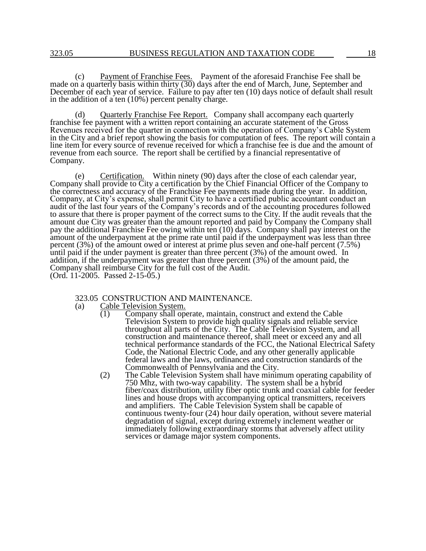(c) Payment of Franchise Fees. Payment of the aforesaid Franchise Fee shall be made on a quarterly basis within thirty (30) days after the end of March, June, September and December of each year of service. Failure to pay after ten (10) days notice of default shall result in the addition of a ten (10%) percent penalty charge.

(d) Quarterly Franchise Fee Report.Company shall accompany each quarterly franchise fee payment with a written report containing an accurate statement of the Gross Revenues received for the quarter in connection with the operation of Company's Cable System in the City and a brief report showing the basis for computation of fees. The report will contain a line item for every source of revenue received for which a franchise fee is due and the amount of revenue from each source. The report shall be certified by a financial representative of Company.

(e) Certification. Within ninety (90) days after the close of each calendar year, Company shall provide to City a certification by the Chief Financial Officer of the Company to the correctness and accuracy of the Franchise Fee payments made during the year. In addition, Company, at City's expense, shall permit City to have a certified public accountant conduct an audit of the last four years of the Company's records and of the accounting procedures followed to assure that there is proper payment of the correct sums to the City. If the audit reveals that the amount due City was greater than the amount reported and paid by Company the Company shall pay the additional Franchise Fee owing within ten (10) days. Company shall pay interest on the amount of the underpayment at the prime rate until paid if the underpayment was less than three percent (3%) of the amount owed or interest at prime plus seven and one-half percent (7.5%) until paid if the under payment is greater than three percent (3%) of the amount owed. In addition, if the underpayment was greater than three percent (3%) of the amount paid, the Company shall reimburse City for the full cost of the Audit. (Ord. 11-2005. Passed 2-15-05.)

323.05 CONSTRUCTION AND MAINTENANCE.

- (a) Cable Television System.
	- $\overline{(1)}$  Company shall operate, maintain, construct and extend the Cable Television System to provide high quality signals and reliable service throughout all parts of the City. The Cable Television System, and all construction and maintenance thereof, shall meet or exceed any and all technical performance standards of the FCC, the National Electrical Safety Code, the National Electric Code, and any other generally applicable federal laws and the laws, ordinances and construction standards of the Commonwealth of Pennsylvania and the City.
	- (2) The Cable Television System shall have minimum operating capability of 750 Mhz, with two-way capability. The system shall be a hybrid fiber/coax distribution, utility fiber optic trunk and coaxial cable for feeder lines and house drops with accompanying optical transmitters, receivers and amplifiers. The Cable Television System shall be capable of continuous twenty-four (24) hour daily operation, without severe material degradation of signal, except during extremely inclement weather or immediately following extraordinary storms that adversely affect utility services or damage major system components.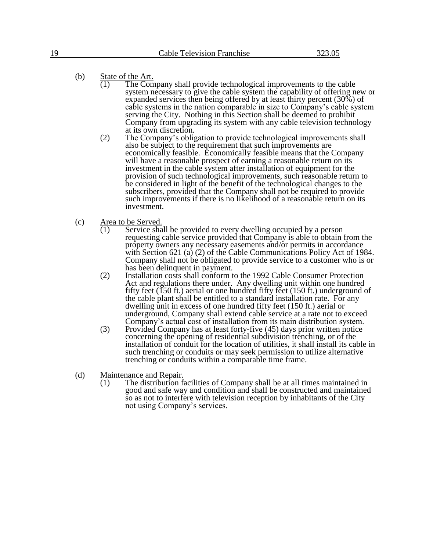- (b) State of the Art.
	- $\overline{(1)}$  The Company shall provide technological improvements to the cable system necessary to give the cable system the capability of offering new or expanded services then being offered by at least thirty percent (30%) of cable systems in the nation comparable in size to Company's cable system serving the City. Nothing in this Section shall be deemed to prohibit Company from upgrading its system with any cable television technology at its own discretion.
	- (2) The Company's obligation to provide technological improvements shall also be subject to the requirement that such improvements are economically feasible. Economically feasible means that the Company will have a reasonable prospect of earning a reasonable return on its investment in the cable system after installation of equipment for the provision of such technological improvements, such reasonable return to be considered in light of the benefit of the technological changes to the subscribers, provided that the Company shall not be required to provide such improvements if there is no likelihood of a reasonable return on its investment.
- (c) Area to be Served.
	- (1) Service shall be provided to every dwelling occupied by a person requesting cable service provided that Company is able to obtain from the property owners any necessary easements and/or permits in accordance with Section 621 (a) (2) of the Cable Communications Policy Act of 1984. Company shall not be obligated to provide service to a customer who is or has been delinquent in payment.
	- (2) Installation costs shall conform to the 1992 Cable Consumer Protection Act and regulations there under. Any dwelling unit within one hundred fifty feet (150 ft.) aerial or one hundred fifty feet (150 ft.) underground of the cable plant shall be entitled to a standard installation rate. For any dwelling unit in excess of one hundred fifty feet (150 ft.) aerial or underground, Company shall extend cable service at a rate not to exceed Company's actual cost of installation from its main distribution system.
	- (3) Provided Company has at least forty-five (45) days prior written notice concerning the opening of residential subdivision trenching, or of the installation of conduit for the location of utilities, it shall install its cable in such trenching or conduits or may seek permission to utilize alternative trenching or conduits within a comparable time frame.
- (d) Maintenance and Repair.
	- $(1)$  The distribution facilities of Company shall be at all times maintained in good and safe way and condition and shall be constructed and maintained so as not to interfere with television reception by inhabitants of the City not using Company's services.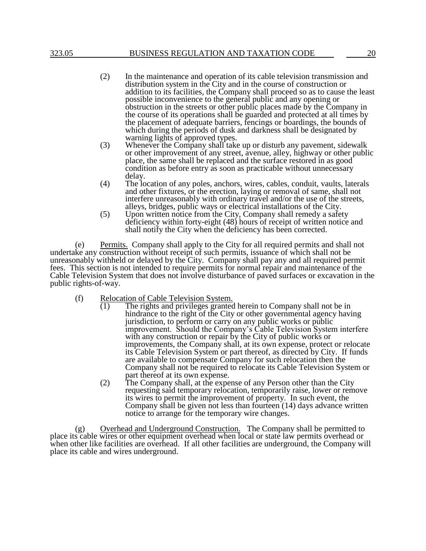- (2) In the maintenance and operation of its cable television transmission and distribution system in the City and in the course of construction or addition to its facilities, the Company shall proceed so as to cause the least possible inconvenience to the general public and any opening or obstruction in the streets or other public places made by the Company in the course of its operations shall be guarded and protected at all times by the placement of adequate barriers, fencings or boardings, the bounds of which during the periods of dusk and darkness shall be designated by warning lights of approved types.
- (3) Whenever the Company shall take up or disturb any pavement, sidewalk or other improvement of any street, avenue, alley, highway or other public place, the same shall be replaced and the surface restored in as good condition as before entry as soon as practicable without unnecessary delay.
- (4) The location of any poles, anchors, wires, cables, conduit, vaults, laterals and other fixtures, or the erection, laying or removal of same, shall not interfere unreasonably with ordinary travel and/or the use of the streets, alleys, bridges, public ways or electrical installations of the City.
- (5) Upon written notice from the City, Company shall remedy a safety deficiency within forty-eight (48) hours of receipt of written notice and shall notify the City when the deficiency has been corrected.

(e) Permits. Company shall apply to the City for all required permits and shall not undertake any construction without receipt of such permits, issuance of which shall not be unreasonably withheld or delayed by the City. Company shall pay any and all required permit fees. This section is not intended to require permits for normal repair and maintenance of the Cable Television System that does not involve disturbance of paved surfaces or excavation in the public rights-of-way.

- (f) Relocation of Cable Television System.<br>  $(1)$  The rights and privileges granted
	- The rights and privileges granted herein to Company shall not be in hindrance to the right of the City or other governmental agency having jurisdiction, to perform or carry on any public works or public improvement. Should the Company's Cable Television System interfere with any construction or repair by the City of public works or improvements, the Company shall, at its own expense, protect or relocate its Cable Television System or part thereof, as directed by City. If funds are available to compensate Company for such relocation then the Company shall not be required to relocate its Cable Television System or part thereof at its own expense.
	- (2) The Company shall, at the expense of any Person other than the City requesting said temporary relocation, temporarily raise, lower or remove its wires to permit the improvement of property. In such event, the Company shall be given not less than fourteen (14) days advance written notice to arrange for the temporary wire changes.

(g) Overhead and Underground Construction. The Company shall be permitted to place its cable wires or other equipment overhead when local or state law permits overhead or when other like facilities are overhead. If all other facilities are underground, the Company will place its cable and wires underground.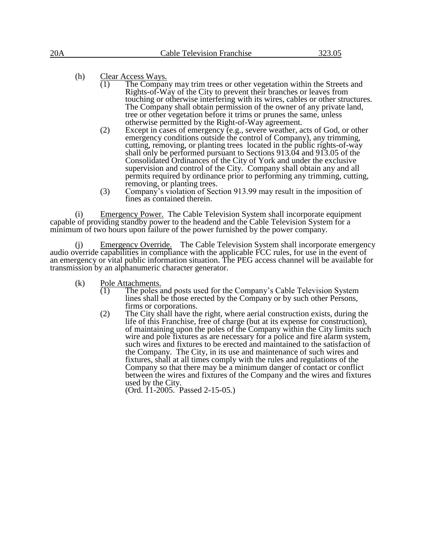(h)  $\frac{\text{Clear Access Ways.}}{(1) \text{The Company}}$ 

- The Company may trim trees or other vegetation within the Streets and Rights-of-Way of the City to prevent their branches or leaves from touching or otherwise interfering with its wires, cables or other structures. The Company shall obtain permission of the owner of any private land, tree or other vegetation before it trims or prunes the same, unless otherwise permitted by the Right-of-Way agreement.
- (2) Except in cases of emergency (e.g., severe weather, acts of God, or other emergency conditions outside the control of Company), any trimming, cutting, removing, or planting trees located in the public rights-of-way shall only be performed pursuant to Sections 913.04 and 913.05 of the Consolidated Ordinances of the City of York and under the exclusive supervision and control of the City. Company shall obtain any and all permits required by ordinance prior to performing any trimming, cutting, removing, or planting trees.
- (3) Company's violation of Section 913.99 may result in the imposition of fines as contained therein.

(i) Emergency Power. The Cable Television System shall incorporate equipment capable of providing standby power to the headend and the Cable Television System for a minimum of two hours upon failure of the power furnished by the power company.

Emergency Override. The Cable Television System shall incorporate emergency audio override capabilities in compliance with the applicable FCC rules, for use in the event of an emergency or vital public information situation. The PEG access channel will be available for transmission by an alphanumeric character generator.

(k) Pole Attachments.<br>(1) The poles a

- The poles and posts used for the Company's Cable Television System lines shall be those erected by the Company or by such other Persons, firms or corporations.
- (2) The City shall have the right, where aerial construction exists, during the life of this Franchise, free of charge (but at its expense for construction), of maintaining upon the poles of the Company within the City limits such wire and pole fixtures as are necessary for a police and fire alarm system, such wires and fixtures to be erected and maintained to the satisfaction of the Company. The City, in its use and maintenance of such wires and fixtures, shall at all times comply with the rules and regulations of the Company so that there may be a minimum danger of contact or conflict between the wires and fixtures of the Company and the wires and fixtures used by the City.

(Ord. 11-2005. Passed 2-15-05.)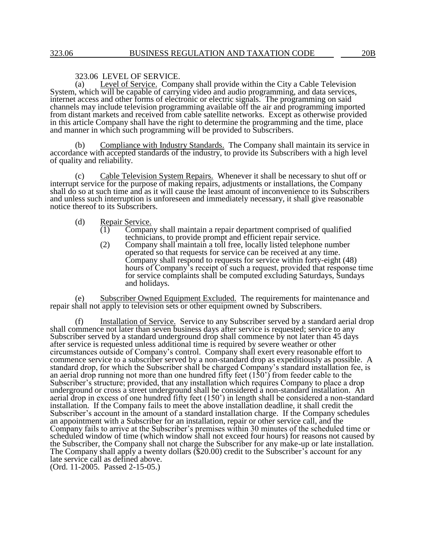# 323.06 LEVEL OF SERVICE.<br>(a) Level of Service. Comp

Level of Service. Company shall provide within the City a Cable Television System, which will be capable of carrying video and audio programming, and data services, internet access and other forms of electronic or electric signals. The programming on said channels may include television programming available off the air and programming imported from distant markets and received from cable satellite networks. Except as otherwise provided in this article Company shall have the right to determine the programming and the time, place and manner in which such programming will be provided to Subscribers.

Compliance with Industry Standards. The Company shall maintain its service in accordance with accepted standards of the industry, to provide its Subscribers with a high level of quality and reliability.

(c) Cable Television System Repairs. Whenever it shall be necessary to shut off or interrupt service for the purpose of making repairs, adjustments or installations, the Company shall do so at such time and as it will cause the least amount of inconvenience to its Subscribers and unless such interruption is unforeseen and immediately necessary, it shall give reasonable notice thereof to its Subscribers.

#### (d) Repair Service.

- (1) Company shall maintain a repair department comprised of qualified technicians, to provide prompt and efficient repair service.
- (2) Company shall maintain a toll free, locally listed telephone number operated so that requests for service can be received at any time. Company shall respond to requests for service within forty-eight (48) hours of Company's receipt of such a request, provided that response time for service complaints shall be computed excluding Saturdays, Sundays and holidays.

(e) Subscriber Owned Equipment Excluded. The requirements for maintenance and repair shall not apply to television sets or other equipment owned by Subscribers.

(f) Installation of Service. Service to any Subscriber served by a standard aerial drop shall commence not later than seven business days after service is requested; service to any Subscriber served by a standard underground drop shall commence by not later than 45 days after service is requested unless additional time is required by severe weather or other circumstances outside of Company's control. Company shall exert every reasonable effort to commence service to a subscriber served by a non-standard drop as expeditiously as possible. A standard drop, for which the Subscriber shall be charged Company's standard installation fee, is an aerial drop running not more than one hundred fifty feet (150') from feeder cable to the Subscriber's structure; provided, that any installation which requires Company to place a drop underground or cross a street underground shall be considered a non-standard installation. An aerial drop in excess of one hundred fifty feet (150') in length shall be considered a non-standard installation. If the Company fails to meet the above installation deadline, it shall credit the Subscriber's account in the amount of a standard installation charge. If the Company schedules an appointment with a Subscriber for an installation, repair or other service call, and the Company fails to arrive at the Subscriber's premises within 30 minutes of the scheduled time or scheduled window of time (which window shall not exceed four hours) for reasons not caused by the Subscriber, the Company shall not charge the Subscriber for any make-up or late installation. The Company shall apply a twenty dollars (\$20.00) credit to the Subscriber's account for any late service call as defined above. (Ord. 11-2005. Passed 2-15-05.)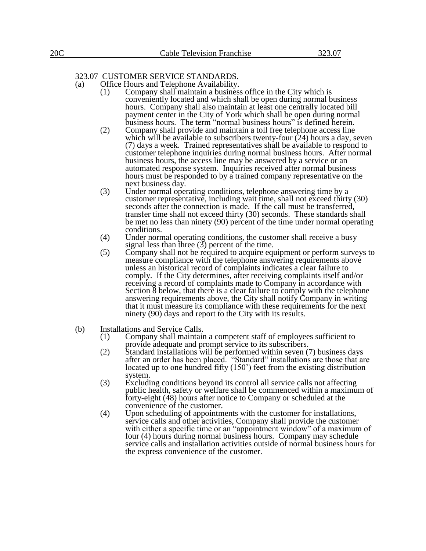# 323.07 CUSTOMER SERVICE STANDARDS.

- (a) Office Hours and Telephone Availability.<br>(1) Company shall maintain a business
	- Company shall maintain a business office in the City which is conveniently located and which shall be open during normal business hours. Company shall also maintain at least one centrally located bill payment center in the City of York which shall be open during normal business hours. The term "normal business hours" is defined herein.
	- (2) Company shall provide and maintain a toll free telephone access line which will be available to subscribers twenty-four  $(24)$  hours a day, seven (7) days a week. Trained representatives shall be available to respond to customer telephone inquiries during normal business hours. After normal business hours, the access line may be answered by a service or an automated response system. Inquiries received after normal business hours must be responded to by a trained company representative on the next business day.
	- (3) Under normal operating conditions, telephone answering time by a customer representative, including wait time, shall not exceed thirty (30) seconds after the connection is made. If the call must be transferred, transfer time shall not exceed thirty (30) seconds. These standards shall be met no less than ninety (90) percent of the time under normal operating conditions.
	- (4) Under normal operating conditions, the customer shall receive a busy signal less than three  $(3)$  percent of the time.
	- (5) Company shall not be required to acquire equipment or perform surveys to measure compliance with the telephone answering requirements above unless an historical record of complaints indicates a clear failure to comply. If the City determines, after receiving complaints itself and/or receiving a record of complaints made to Company in accordance with Section  $\delta$  below, that there is a clear failure to comply with the telephone answering requirements above, the City shall notify Company in writing that it must measure its compliance with these requirements for the next ninety (90) days and report to the City with its results.
- (b) Installations and Service Calls.<br>(1) Company shall maintain
	- (1) Company shall maintain a competent staff of employees sufficient to provide adequate and prompt service to its subscribers.
	- (2) Standard installations will be performed within seven (7) business days after an order has been placed. "Standard" installations are those that are located up to one hundred fifty (150') feet from the existing distribution system.
	- (3) Excluding conditions beyond its control all service calls not affecting public health, safety or welfare shall be commenced within a maximum of forty-eight (48) hours after notice to Company or scheduled at the convenience of the customer.
	- (4) Upon scheduling of appointments with the customer for installations, service calls and other activities, Company shall provide the customer with either a specific time or an "appointment window" of a maximum of four (4) hours during normal business hours. Company may schedule service calls and installation activities outside of normal business hours for the express convenience of the customer.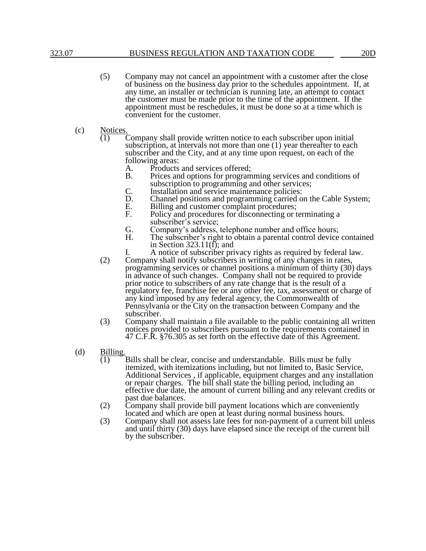## 323.07 BUSINESS REGULATION AND TAXATION CODE 20D

- (5) Company may not cancel an appointment with a customer after the close of business on the business day prior to the schedules appointment. If, at any time, an installer or technician is running late, an attempt to contact the customer must be made prior to the time of the appointment. If the appointment must be reschedules, it must be done so at a time which is convenient for the customer.
- (c) Notices.
	- Company shall provide written notice to each subscriber upon initial subscription, at intervals not more than one (1) year thereafter to each subscriber and the City, and at any time upon request, on each of the following areas:
		- A. Products and services offered;<br>B. Prices and options for program
		- Prices and options for programming services and conditions of subscription to programming and other services;
		- C. Installation and service maintenance policies:<br>D. Channel positions and programming carried of
		- D. Channel positions and programming carried on the Cable System;<br>E. Billing and customer complaint procedures;
		- E. Billing and customer complaint procedures;<br>F. Policy and procedures for disconnecting or t
		- Policy and procedures for disconnecting or terminating a subscriber's service;
		- G. Company's address, telephone number and office hours;<br>H. The subscriber's right to obtain a parental control device
		- The subscriber's right to obtain a parental control device contained in Section  $323.11(f)$ ; and
	- I. A notice of subscriber privacy rights as required by federal law. (2) Company shall notify subscribers in writing of any changes in rates, programming services or channel positions a minimum of thirty (30) days in advance of such changes. Company shall not be required to provide prior notice to subscribers of any rate change that is the result of a regulatory fee, franchise fee or any other fee, tax, assessment or charge of any kind imposed by any federal agency, the Commonwealth of Pennsylvania or the City on the transaction between Company and the subscriber.
	- (3) Company shall maintain a file available to the public containing all written notices provided to subscribers pursuant to the requirements contained in 47 C.F.R. §76.305 as set forth on the effective date of this Agreement.
- (d) Billing.
	- (1) Bills shall be clear, concise and understandable. Bills must be fully itemized, with itemizations including, but not limited to, Basic Service, Additional Services , if applicable, equipment charges and any installation or repair charges. The bill shall state the billing period, including an effective due date, the amount of current billing and any relevant credits or past due balances.
	- (2) Company shall provide bill payment locations which are conveniently located and which are open at least during normal business hours.
	- (3) Company shall not assess late fees for non-payment of a current bill unless and until thirty (30) days have elapsed since the receipt of the current bill by the subscriber.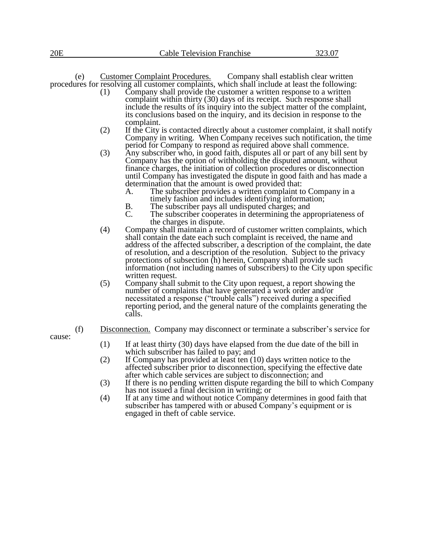(e) Customer Complaint Procedures. Company shall establish clear written procedures for resolving all customer complaints, which shall include at least the following:

- (1) Company shall provide the customer a written response to a written complaint within thirty (30) days of its receipt. Such response shall include the results of its inquiry into the subject matter of the complaint, its conclusions based on the inquiry, and its decision in response to the complaint.
- (2) If the City is contacted directly about a customer complaint, it shall notify Company in writing. When Company receives such notification, the time period for Company to respond as required above shall commence.
- (3) Any subscriber who, in good faith, disputes all or part of any bill sent by Company has the option of withholding the disputed amount, without finance charges, the initiation of collection procedures or disconnection until Company has investigated the dispute in good faith and has made a determination that the amount is owed provided that:<br>A. The subscriber provides a written complaint to
	- The subscriber provides a written complaint to Company in a timely fashion and includes identifying information;
	- B. The subscriber pays all undisputed charges; and C. The subscriber cooperates in determining the approximate
	- The subscriber cooperates in determining the appropriateness of the charges in dispute.
- (4) Company shall maintain a record of customer written complaints, which shall contain the date each such complaint is received, the name and address of the affected subscriber, a description of the complaint, the date of resolution, and a description of the resolution. Subject to the privacy protections of subsection (h) herein, Company shall provide such information (not including names of subscribers) to the City upon specific written request.
- (5) Company shall submit to the City upon request, a report showing the number of complaints that have generated a work order and/or necessitated a response ("trouble calls") received during a specified reporting period, and the general nature of the complaints generating the calls.
- 
- (f) Disconnection.Company may disconnect or terminate a subscriber's service for
- cause:
- (1) If at least thirty (30) days have elapsed from the due date of the bill in which subscriber has failed to pay; and
- (2) If Company has provided at least ten (10) days written notice to the affected subscriber prior to disconnection, specifying the effective date after which cable services are subject to disconnection; and
- (3) If there is no pending written dispute regarding the bill to which Company has not issued a final decision in writing; or
- (4) If at any time and without notice Company determines in good faith that subscriber has tampered with or abused Company's equipment or is engaged in theft of cable service.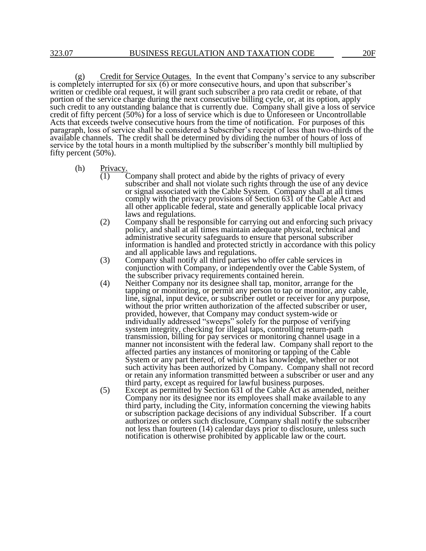Credit for Service Outages. In the event that Company's service to any subscriber is completely interrupted for six (6) or more consecutive hours, and upon that subscriber's written or credible oral request, it will grant such subscriber a pro rata credit or rebate, of that portion of the service charge during the next consecutive billing cycle, or, at its option, apply such credit to any outstanding balance that is currently due. Company shall give a loss of service credit of fifty percent (50%) for a loss of service which is due to Unforeseen or Uncontrollable Acts that exceeds twelve consecutive hours from the time of notification. For purposes of this paragraph, loss of service shall be considered a Subscriber's receipt of less than two-thirds of the available channels. The credit shall be determined by dividing the number of hours of loss of service by the total hours in a month multiplied by the subscriber's monthly bill multiplied by fifty percent (50%).

- (h) Privacy.
	- Company shall protect and abide by the rights of privacy of every subscriber and shall not violate such rights through the use of any device or signal associated with the Cable System. Company shall at all times comply with the privacy provisions of Section 631 of the Cable Act and all other applicable federal, state and generally applicable local privacy laws and regulations.
	- (2) Company shall be responsible for carrying out and enforcing such privacy policy, and shall at all times maintain adequate physical, technical and administrative security safeguards to ensure that personal subscriber information is handled and protected strictly in accordance with this policy and all applicable laws and regulations.
	- (3) Company shall notify all third parties who offer cable services in conjunction with Company, or independently over the Cable System, of the subscriber privacy requirements contained herein.
	- (4) Neither Company nor its designee shall tap, monitor, arrange for the tapping or monitoring, or permit any person to tap or monitor, any cable, line, signal, input device, or subscriber outlet or receiver for any purpose, without the prior written authorization of the affected subscriber or user, provided, however, that Company may conduct system-wide or individually addressed "sweeps" solely for the purpose of verifying system integrity, checking for illegal taps, controlling return-path transmission, billing for pay services or monitoring channel usage in a manner not inconsistent with the federal law. Company shall report to the affected parties any instances of monitoring or tapping of the Cable System or any part thereof, of which it has knowledge, whether or not such activity has been authorized by Company. Company shall not record or retain any information transmitted between a subscriber or user and any third party, except as required for lawful business purposes.
	- (5) Except as permitted by Section 631 of the Cable Act as amended, neither Company nor its designee nor its employees shall make available to any third party, including the City, information concerning the viewing habits or subscription package decisions of any individual Subscriber. If a court authorizes or orders such disclosure, Company shall notify the subscriber not less than fourteen (14) calendar days prior to disclosure, unless such notification is otherwise prohibited by applicable law or the court.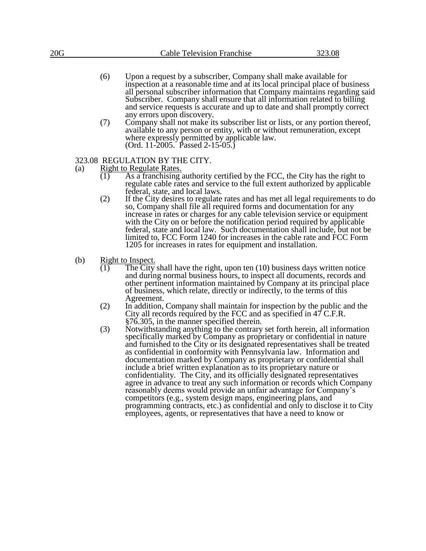- (6) Upon a request by a subscriber, Company shall make available for inspection at a reasonable time and at its local principal place of business all personal subscriber information that Company maintains regarding said Subscriber. Company shall ensure that all information related to billing and service requests is accurate and up to date and shall promptly correct any errors upon discovery.
- (7) Company shall not make its subscriber list or lists, or any portion thereof, available to any person or entity, with or without remuneration, except where expressly permitted by applicable law. (Ord. 11-2005. Passed 2-15-05.)

# 323.08 REGULATION BY THE CITY.<br>(a) Right to Regulate Rates.

- Right to Regulate Rates.
	- $\overline{(1)}$  As a franchising authority certified by the FCC, the City has the right to regulate cable rates and service to the full extent authorized by applicable federal, state, and local laws.
	- (2) If the City desires to regulate rates and has met all legal requirements to do so, Company shall file all required forms and documentation for any increase in rates or charges for any cable television service or equipment with the City on or before the notification period required by applicable federal, state and local law. Such documentation shall include, but not be limited to, FCC Form 1240 for increases in the cable rate and FCC Form 1205 for increases in rates for equipment and installation.
- (b) Right to Inspect.<br>(1) The City
	- The City shall have the right, upon ten  $(10)$  business days written notice and during normal business hours, to inspect all documents, records and other pertinent information maintained by Company at its principal place of business, which relate, directly or indirectly, to the terms of this Agreement.
	- (2) In addition, Company shall maintain for inspection by the public and the City all records required by the FCC and as specified in 47 C.F.R. §76.305, in the manner specified therein.
	- (3) Notwithstanding anything to the contrary set forth herein, all information specifically marked by Company as proprietary or confidential in nature and furnished to the City or its designated representatives shall be treated as confidential in conformity with Pennsylvania law. Information and documentation marked by Company as proprietary or confidential shall include a brief written explanation as to its proprietary nature or confidentiality. The City, and its officially designated representatives agree in advance to treat any such information or records which Company reasonably deems would provide an unfair advantage for Company's competitors (e.g., system design maps, engineering plans, and programming contracts, etc.) as confidential and only to disclose it to City employees, agents, or representatives that have a need to know or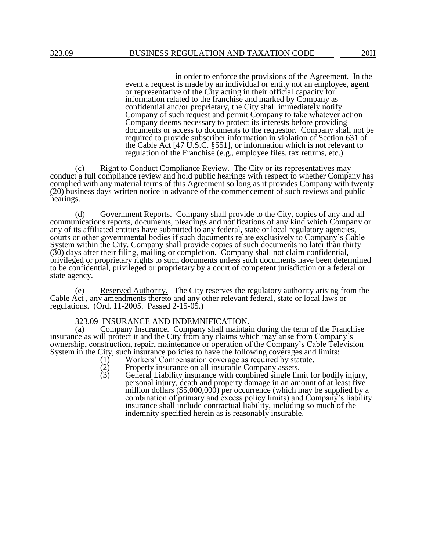in order to enforce the provisions of the Agreement. In the event a request is made by an individual or entity not an employee, agent or representative of the City acting in their official capacity for information related to the franchise and marked by Company as confidential and/or proprietary, the City shall immediately notify Company of such request and permit Company to take whatever action Company deems necessary to protect its interests before providing documents or access to documents to the requestor. Company shall not be required to provide subscriber information in violation of Section 631 of the Cable Act [47 U.S.C. §551], or information which is not relevant to regulation of the Franchise (e.g., employee files, tax returns, etc.).

(c) Right to Conduct Compliance Review. The City or its representatives may conduct a full compliance review and hold public hearings with respect to whether Company has complied with any material terms of this Agreement so long as it provides Company with twenty (20) business days written notice in advance of the commencement of such reviews and public hearings.

(d) Government Reports. Company shall provide to the City, copies of any and all communications reports, documents, pleadings and notifications of any kind which Company or any of its affiliated entities have submitted to any federal, state or local regulatory agencies, courts or other governmental bodies if such documents relate exclusively to Company's Cable System within the City. Company shall provide copies of such documents no later than thirty (30) days after their filing, mailing or completion. Company shall not claim confidential, privileged or proprietary rights to such documents unless such documents have been determined to be confidential, privileged or proprietary by a court of competent jurisdiction or a federal or state agency.

(e) Reserved Authority. The City reserves the regulatory authority arising from the Cable Act , any amendments thereto and any other relevant federal, state or local laws or regulations. (Ord. 11-2005. Passed 2-15-05.)

#### 323.09 INSURANCE AND INDEMNIFICATION.

(a) Company Insurance. Company shall maintain during the term of the Franchise insurance as will protect it and the City from any claims which may arise from Company's ownership, construction, repair, maintenance or operation of the Company's Cable Television System in the City, such insurance policies to have the following coverages and limits:<br>(1) Workers' Compensation coverage as required by statute.<br>(2) Property insurance on all insurable Company assets.

- Workers' Compensation coverage as required by statute.
- $(2)$  Property insurance on all insurable Company assets.<br>  $(3)$  General Liability insurance with combined single lin
- General Liability insurance with combined single limit for bodily injury, personal injury, death and property damage in an amount of at least five million dollars (\$5,000,000) per occurrence (which may be supplied by a combination of primary and excess policy limits) and Company's liability insurance shall include contractual liability, including so much of the indemnity specified herein as is reasonably insurable.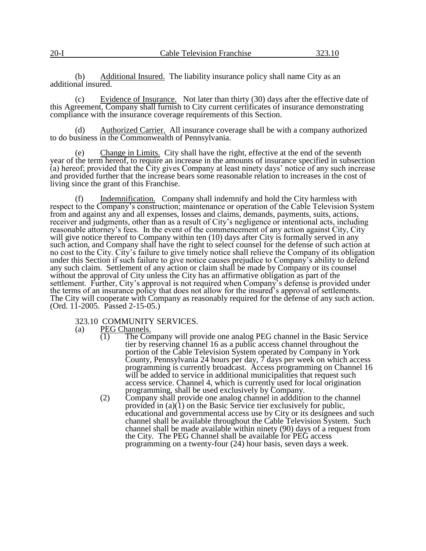(b) Additional Insured. The liability insurance policy shall name City as an additional insured.

(c) Evidence of Insurance. Not later than thirty (30) days after the effective date of this Agreement, Company shall furnish to City current certificates of insurance demonstrating compliance with the insurance coverage requirements of this Section.

(d) Authorized Carrier. All insurance coverage shall be with a company authorized to do business in the Commonwealth of Pennsylvania.

(e) Change in Limits. City shall have the right, effective at the end of the seventh year of the term hereof, to require an increase in the amounts of insurance specified in subsection (a) hereof; provided that the City gives Company at least ninety days' notice of any such increase and provided further that the increase bears some reasonable relation to increases in the cost of living since the grant of this Franchise.

(f) Indemnification. Company shall indemnify and hold the City harmless with respect to the Company's construction; maintenance or operation of the Cable Television System from and against any and all expenses, losses and claims, demands, payments, suits, actions, receiver and judgments, other than as a result of City's negligence or intentional acts, including reasonable attorney's fees. In the event of the commencement of any action against City, City will give notice thereof to Company within ten (10) days after City is formally served in any such action, and Company shall have the right to select counsel for the defense of such action at no cost to the City. City's failure to give timely notice shall relieve the Company of its obligation under this Section if such failure to give notice causes prejudice to Company's ability to defend any such claim. Settlement of any action or claim shall be made by Company or its counsel without the approval of City unless the City has an affirmative obligation as part of the settlement. Further, City's approval is not required when Company's defense is provided under the terms of an insurance policy that does not allow for the insured's approval of settlements. The City will cooperate with Company as reasonably required for the defense of any such action. (Ord. 11-2005. Passed 2-15-05.)

323.10 COMMUNITY SERVICES.<br>(a) PEG Channels.

 $\frac{\text{PEG Channels.}}{(1)}$  The Cor

- The Company will provide one analog PEG channel in the Basic Service tier by reserving channel 16 as a public access channel throughout the portion of the Cable Television System operated by Company in York County, Pennsylvania 24 hours per day, 7 days per week on which access programming is currently broadcast. Access programming on Channel 16 will be added to service in additional municipalities that request such access service. Channel 4, which is currently used for local origination programming, shall be used exclusively by Company.
- (2) Company shall provide one analog channel in adddition to the channel provided in (a)(1) on the Basic Service tier exclusively for public, educational and governmental access use by City or its designees and such channel shall be available throughout the Cable Television System. Such channel shall be made available within ninety (90) days of a request from the City. The PEG Channel shall be available for PEG access programming on a twenty-four (24) hour basis, seven days a week.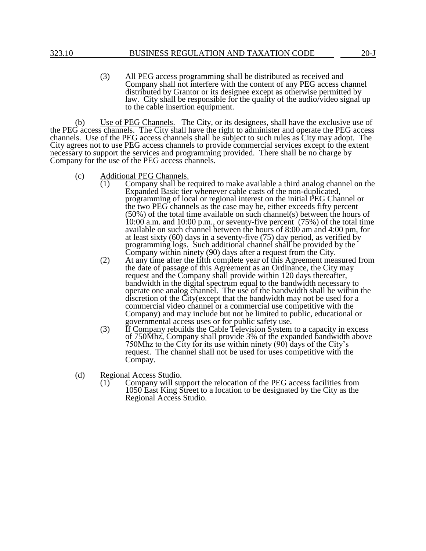(3) All PEG access programming shall be distributed as received and Company shall not interfere with the content of any PEG access channel distributed by Grantor or its designee except as otherwise permitted by law. City shall be responsible for the quality of the audio/video signal up to the cable insertion equipment.

(b) Use of PEG Channels. The City, or its designees, shall have the exclusive use of the PEG access channels. The City shall have the right to administer and operate the PEG access channels. Use of the PEG access channels shall be subject to such rules as City may adopt. The City agrees not to use PEG access channels to provide commercial services except to the extent necessary to support the services and programming provided. There shall be no charge by Company for the use of the PEG access channels.

- (c) Additional PEG Channels.
	- $\overline{(1)}$  Company shall be required to make available a third analog channel on the Expanded Basic tier whenever cable casts of the non-duplicated, programming of local or regional interest on the initial PEG Channel or the two PEG channels as the case may be, either exceeds fifty percent (50%) of the total time available on such channel(s) between the hours of  $10:00$  a.m. and  $10:00$  p.m., or seventy-five percent (75%) of the total time available on such channel between the hours of 8:00 am and 4:00 pm, for at least sixty (60) days in a seventy-five (75) day period, as verified by programming logs. Such additional channel shall be provided by the Company within ninety (90) days after a request from the City.
	- (2) At any time after the fifth complete year of this Agreement measured from the date of passage of this Agreement as an Ordinance, the City may request and the Company shall provide within 120 days thereafter, bandwidth in the digital spectrum equal to the bandwidth necessary to operate one analog channel. The use of the bandwidth shall be within the discretion of the City(except that the bandwidth may not be used for a commercial video channel or a commercial use competitive with the Company) and may include but not be limited to public, educational or governmental access uses or for public safety use.
	- (3) If Company rebuilds the Cable Television System to a capacity in excess of 750Mhz, Company shall provide 3% of the expanded bandwidth above 750Mhz to the City for its use within ninety (90) days of the City's request. The channel shall not be used for uses competitive with the Compay.
- (d) Regional Access Studio.
	- (1) Company will support the relocation of the PEG access facilities from 1050 East King Street to a location to be designated by the City as the Regional Access Studio.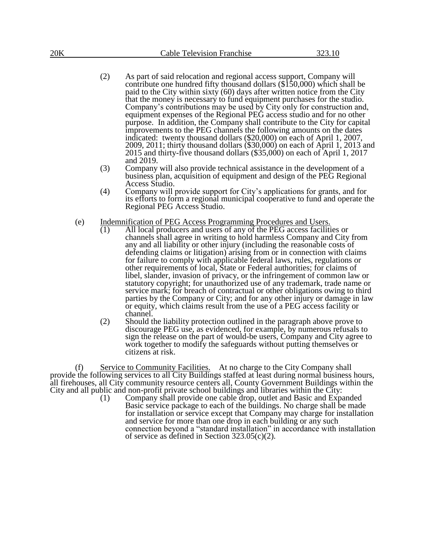- (2) As part of said relocation and regional access support, Company will contribute one hundred fifty thousand dollars (\$150,000) which shall be paid to the City within sixty (60) days after written notice from the City that the money is necessary to fund equipment purchases for the studio. Company's contributions may be used by City only for construction and, equipment expenses of the Regional PEG access studio and for no other purpose. In addition, the Company shall contribute to the City for capital improvements to the PEG channels the following amounts on the dates indicated: twenty thousand dollars (\$20,000) on each of April 1, 2007, 2009, 2011; thirty thousand dollars (\$30,000) on each of April 1, 2013 and 2015 and thirty-five thousand dollars (\$35,000) on each of April 1, 2017 and 2019.
- (3) Company will also provide technical assistance in the development of a business plan, acquisition of equipment and design of the PEG Regional Access Studio.
- (4) Company will provide support for City's applications for grants, and for its efforts to form a regional municipal cooperative to fund and operate the Regional PEG Access Studio.
- (e) Indemnification of PEG Access Programming Procedures and Users.
	- $\overline{(1)}$  All local producers and users of any of the PEG access facilities or channels shall agree in writing to hold harmless Company and City from any and all liability or other injury (including the reasonable costs of defending claims or litigation) arising from or in connection with claims for failure to comply with applicable federal laws, rules, regulations or other requirements of local, State or Federal authorities; for claims of libel, slander, invasion of privacy, or the infringement of common law or statutory copyright; for unauthorized use of any trademark, trade name or service mark; for breach of contractual or other obligations owing to third parties by the Company or City; and for any other injury or damage in law or equity, which claims result from the use of a PEG access facility or channel.
	- (2) Should the liability protection outlined in the paragraph above prove to discourage PEG use, as evidenced, for example, by numerous refusals to sign the release on the part of would-be users, Company and City agree to work together to modify the safeguards without putting themselves or citizens at risk.

(f) Service to Community Facilities. At no charge to the City Company shall provide the following services to all City Buildings staffed at least during normal business hours, all firehouses, all City community resource centers all, County Government Buildings within the City and all public and non-profit private school buildings and libraries within the City:

(1) Company shall provide one cable drop, outlet and Basic and Expanded Basic service package to each of the buildings. No charge shall be made for installation or service except that Company may charge for installation and service for more than one drop in each building or any such connection beyond a "standard installation" in accordance with installation of service as defined in Section 323.05(c)(2).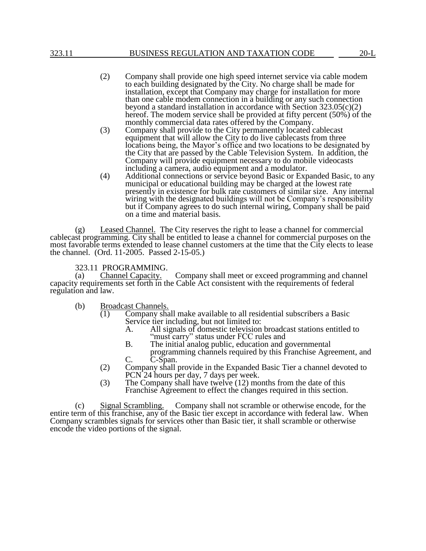- (2) Company shall provide one high speed internet service via cable modem to each building designated by the City. No charge shall be made for installation, except that Company may charge for installation for more than one cable modem connection in a building or any such connection beyond a standard installation in accordance with Section 323.05(c)(2) hereof. The modem service shall be provided at fifty percent (50%) of the monthly commercial data rates offered by the Company.
- (3) Company shall provide to the City permanently located cablecast equipment that will allow the City to do live cablecasts from three locations being, the Mayor's office and two locations to be designated by the City that are passed by the Cable Television System. In addition, the Company will provide equipment necessary to do mobile videocasts including a camera, audio equipment and a modulator.
- (4) Additional connections or service beyond Basic or Expanded Basic, to any municipal or educational building may be charged at the lowest rate presently in existence for bulk rate customers of similar size. Any internal wiring with the designated buildings will not be Company's responsibility but if Company agrees to do such internal wiring, Company shall be paid on a time and material basis.

(g) Leased Channel. The City reserves the right to lease a channel for commercial cablecast programming. City shall be entitled to lease a channel for commercial purposes on the most favorable terms extended to lease channel customers at the time that the City elects to lease the channel. (Ord. 11-2005. Passed 2-15-05.)

323.11 PROGRAMMING.

(a) Channel Capacity. Company shall meet or exceed programming and channel capacity requirements set forth in the Cable Act consistent with the requirements of federal regulation and law.

- (b) Broadcast Channels.
	- $\overline{(1)}$  Company shall make available to all residential subscribers a Basic Service tier including, but not limited to:<br>A. All signals of domestic television
		- A. All signals of domestic television broadcast stations entitled to "must carry" status under FCC rules and
		- B. The initial analog public, education and governmental programming channels required by this Franchise Agreement, and C. C-Span.
	- (2) Company shall provide in the Expanded Basic Tier a channel devoted to PCN 24 hours per day, 7 days per week.
	- (3) The Company shall have twelve (12) months from the date of this Franchise Agreement to effect the changes required in this section.

(c) Signal Scrambling. Company shall not scramble or otherwise encode, for the entire term of this franchise, any of the Basic tier except in accordance with federal law. When Company scrambles signals for services other than Basic tier, it shall scramble or otherwise encode the video portions of the signal.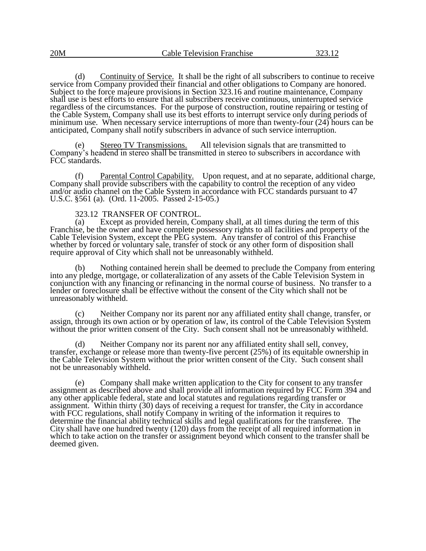(d) Continuity of Service.It shall be the right of all subscribers to continue to receive service from Company provided their financial and other obligations to Company are honored. Subject to the force majeure provisions in Section 323.16 and routine maintenance, Company shall use is best efforts to ensure that all subscribers receive continuous, uninterrupted service regardless of the circumstances. For the purpose of construction, routine repairing or testing of the Cable System, Company shall use its best efforts to interrupt service only during periods of minimum use. When necessary service interruptions of more than twenty-four (24) hours can be anticipated, Company shall notify subscribers in advance of such service interruption.

Stereo TV Transmissions. All television signals that are transmitted to Company's headend in stereo shall be transmitted in stereo to subscribers in accordance with FCC standards.

(f) Parental Control Capability. Upon request, and at no separate, additional charge, Company shall provide subscribers with the capability to control the reception of any video and/or audio channel on the Cable System in accordance with FCC standards pursuant to 47 U.S.C. §561 (a). (Ord. 11-2005. Passed 2-15-05.)

#### 323.12 TRANSFER OF CONTROL.

(a) Except as provided herein, Company shall, at all times during the term of this Franchise, be the owner and have complete possessory rights to all facilities and property of the Cable Television System, except the PEG system. Any transfer of control of this Franchise whether by forced or voluntary sale, transfer of stock or any other form of disposition shall require approval of City which shall not be unreasonably withheld.

(b) Nothing contained herein shall be deemed to preclude the Company from entering into any pledge, mortgage, or collateralization of any assets of the Cable Television System in conjunction with any financing or refinancing in the normal course of business. No transfer to a lender or foreclosure shall be effective without the consent of the City which shall not be unreasonably withheld.

Neither Company nor its parent nor any affiliated entity shall change, transfer, or assign, through its own action or by operation of law, its control of the Cable Television System without the prior written consent of the City. Such consent shall not be unreasonably withheld.

(d) Neither Company nor its parent nor any affiliated entity shall sell, convey, transfer, exchange or release more than twenty-five percent (25%) of its equitable ownership in the Cable Television System without the prior written consent of the City. Such consent shall not be unreasonably withheld.

(e) Company shall make written application to the City for consent to any transfer assignment as described above and shall provide all information required by FCC Form 394 and any other applicable federal, state and local statutes and regulations regarding transfer or assignment. Within thirty (30) days of receiving a request for transfer, the City in accordance with FCC regulations, shall notify Company in writing of the information it requires to determine the financial ability technical skills and legal qualifications for the transferee. The City shall have one hundred twenty (120) days from the receipt of all required information in which to take action on the transfer or assignment beyond which consent to the transfer shall be deemed given.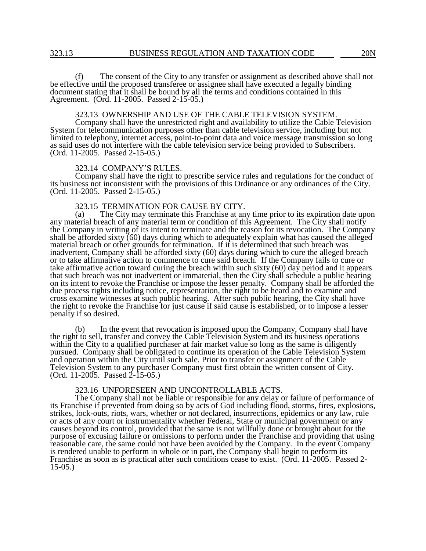(f) The consent of the City to any transfer or assignment as described above shall not be effective until the proposed transferee or assignee shall have executed a legally binding document stating that it shall be bound by all the terms and conditions contained in this Agreement. (Ord. 11-2005. Passed 2-15-05.)

#### 323.13 OWNERSHIP AND USE OF THE CABLE TELEVISION SYSTEM.

Company shall have the unrestricted right and availability to utilize the Cable Television System for telecommunication purposes other than cable television service, including but not limited to telephony, internet access, point-to-point data and voice message transmission so long as said uses do not interfere with the cable television service being provided to Subscribers. (Ord. 11-2005. Passed 2-15-05.)

#### 323.14 COMPANY'S RULES.

Company shall have the right to prescribe service rules and regulations for the conduct of its business not inconsistent with the provisions of this Ordinance or any ordinances of the City. (Ord. 11-2005. Passed 2-15-05.)

# 323.15 TERMINATION FOR CAUSE BY CITY.<br>(a) The City may terminate this Franchise at an

The City may terminate this Franchise at any time prior to its expiration date upon any material breach of any material term or condition of this Agreement. The City shall notify the Company in writing of its intent to terminate and the reason for its revocation. The Company shall be afforded sixty (60) days during which to adequately explain what has caused the alleged material breach or other grounds for termination. If it is determined that such breach was inadvertent, Company shall be afforded sixty (60) days during which to cure the alleged breach or to take affirmative action to commence to cure said breach. If the Company fails to cure or take affirmative action toward curing the breach within such sixty (60) day period and it appears that such breach was not inadvertent or immaterial, then the City shall schedule a public hearing on its intent to revoke the Franchise or impose the lesser penalty. Company shall be afforded the due process rights including notice, representation, the right to be heard and to examine and cross examine witnesses at such public hearing. After such public hearing, the City shall have the right to revoke the Franchise for just cause if said cause is established, or to impose a lesser penalty if so desired.

(b) In the event that revocation is imposed upon the Company, Company shall have the right to sell, transfer and convey the Cable Television System and its business operations within the City to a qualified purchaser at fair market value so long as the same is diligently pursued. Company shall be obligated to continue its operation of the Cable Television System and operation within the City until such sale. Prior to transfer or assignment of the Cable Television System to any purchaser Company must first obtain the written consent of City. (Ord. 11-2005. Passed 2-15-05.)

#### 323.16 UNFORESEEN AND UNCONTROLLABLE ACTS.

The Company shall not be liable or responsible for any delay or failure of performance of its Franchise if prevented from doing so by acts of God including flood, storms, fires, explosions, strikes, lock-outs, riots, wars, whether or not declared, insurrections, epidemics or any law, rule or acts of any court or instrumentality whether Federal, State or municipal government or any causes beyond its control, provided that the same is not willfully done or brought about for the purpose of excusing failure or omissions to perform under the Franchise and providing that using reasonable care, the same could not have been avoided by the Company. In the event Company is rendered unable to perform in whole or in part, the Company shall begin to perform its Franchise as soon as is practical after such conditions cease to exist. (Ord. 11-2005. Passed 2- 15-05.)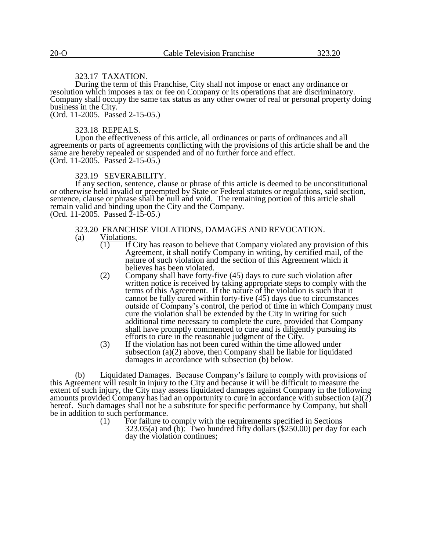#### 323.17 TAXATION.

During the term of this Franchise, City shall not impose or enact any ordinance or resolution which imposes a tax or fee on Company or its operations that are discriminatory. Company shall occupy the same tax status as any other owner of real or personal property doing business in the City.

(Ord. 11-2005. Passed 2-15-05.)

#### 323.18 REPEALS.

Upon the effectiveness of this article, all ordinances or parts of ordinances and all agreements or parts of agreements conflicting with the provisions of this article shall be and the same are hereby repealed or suspended and of no further force and effect. (Ord. 11-2005. Passed 2-15-05.)

#### 323.19 SEVERABILITY.

If any section, sentence, clause or phrase of this article is deemed to be unconstitutional or otherwise held invalid or preempted by State or Federal statutes or regulations, said section, sentence, clause or phrase shall be null and void. The remaining portion of this article shall remain valid and binding upon the City and the Company. (Ord. 11-2005. Passed  $2-15-05$ .)

# 323.20 FRANCHISE VIOLATIONS, DAMAGES AND REVOCATION.<br>(a) Violations.

- $\frac{\text{Violutions}}{(1) \text{ If } \text{C}}$ 
	- $\overline{1}$  If City has reason to believe that Company violated any provision of this Agreement, it shall notify Company in writing, by certified mail, of the nature of such violation and the section of this Agreement which it believes has been violated.
	- (2) Company shall have forty-five (45) days to cure such violation after written notice is received by taking appropriate steps to comply with the terms of this Agreement. If the nature of the violation is such that it cannot be fully cured within forty-five (45) days due to circumstances outside of Company's control, the period of time in which Company must cure the violation shall be extended by the City in writing for such additional time necessary to complete the cure, provided that Company shall have promptly commenced to cure and is diligently pursuing its efforts to cure in the reasonable judgment of the City.
	- (3) If the violation has not been cured within the time allowed under subsection  $(a)(2)$  above, then Company shall be liable for liquidated damages in accordance with subsection (b) below.

(b) Liquidated Damages. Because Company's failure to comply with provisions of this Agreement will result in injury to the City and because it will be difficult to measure the extent of such injury, the City may assess liquidated damages against Company in the following amounts provided Company has had an opportunity to cure in accordance with subsection  $(a)(2)$ hereof. Such damages shall not be a substitute for specific performance by Company, but shall be in addition to such performance.<br>(1) For failure to

For failure to comply with the requirements specified in Sections  $323.05(a)$  and (b): Two hundred fifty dollars  $(\$250.00)$  per day for each day the violation continues;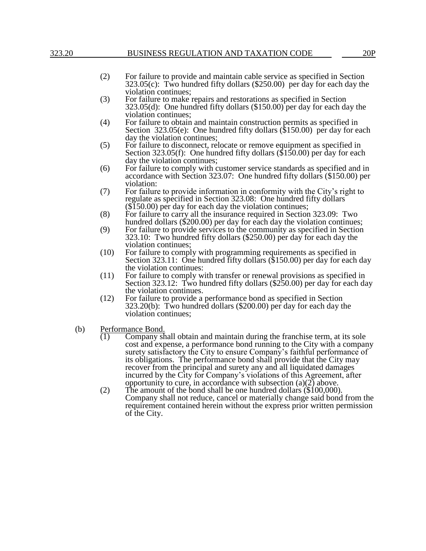### 323.20 BUSINESS REGULATION AND TAXATION CODE 20P

- (2) For failure to provide and maintain cable service as specified in Section  $323.05(c)$ : Two hundred fifty dollars (\$250.00) per day for each day the violation continues;
- (3) For failure to make repairs and restorations as specified in Section 323.05(d): One hundred fifty dollars (\$150.00) per day for each day the violation continues;
- (4) For failure to obtain and maintain construction permits as specified in Section 323.05(e): One hundred fifty dollars (\$150.00) per day for each day the violation continues;
- (5) For failure to disconnect, relocate or remove equipment as specified in Section 323.05(f): One hundred fifty dollars (\$150.00) per day for each day the violation continues;
- (6) For failure to comply with customer service standards as specified and in accordance with Section 323.07: One hundred fifty dollars (\$150.00) per violation:
- (7) For failure to provide information in conformity with the City's right to regulate as specified in Section 323.08: One hundred fifty dollars (\$150.00) per day for each day the violation continues;
- (8) For failure to carry all the insurance required in Section 323.09: Two hundred dollars (\$200.00) per day for each day the violation continues;
- (9) For failure to provide services to the community as specified in Section 323.10: Two hundred fifty dollars (\$250.00) per day for each day the violation continues;
- (10) For failure to comply with programming requirements as specified in Section 323.11: One hundred fifty dollars (\$150.00) per day for each day the violation continues:
- (11) For failure to comply with transfer or renewal provisions as specified in Section 323.12: Two hundred fifty dollars (\$250.00) per day for each day the violation continues.
- (12) For failure to provide a performance bond as specified in Section 323.20(b): Two hundred dollars (\$200.00) per day for each day the violation continues;
- (b) Performance Bond.<br>(1) Company sh
	- Company shall obtain and maintain during the franchise term, at its sole cost and expense, a performance bond running to the City with a company surety satisfactory the City to ensure Company's faithful performance of its obligations. The performance bond shall provide that the City may recover from the principal and surety any and all liquidated damages incurred by the City for Company's violations of this Agreement, after opportunity to cure, in accordance with subsection  $(a)(2)$  above.
	- (2) The amount of the bond shall be one hundred dollars (\$100,000). Company shall not reduce, cancel or materially change said bond from the requirement contained herein without the express prior written permission of the City.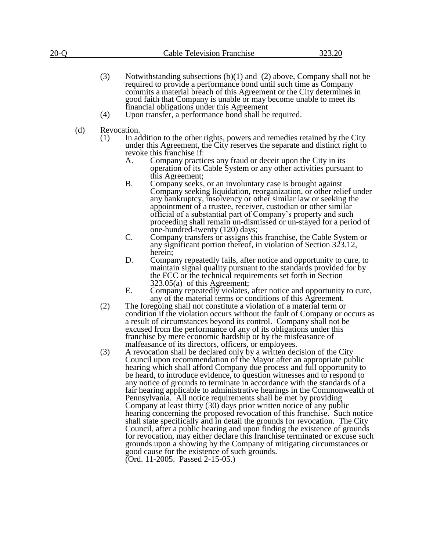| 20-O | <b>Cable Television Franchise</b> | 323.20 |
|------|-----------------------------------|--------|
|      |                                   |        |

- (3) Notwithstanding subsections (b)(1) and (2) above, Company shall not be required to provide a performance bond until such time as Company commits a material breach of this Agreement or the City determines in good faith that Company is unable or may become unable to meet its financial obligations under this Agreement
- (4) Upon transfer, a performance bond shall be required.
- (d) Revocation.
	- (1) In addition to the other rights, powers and remedies retained by the City under this Agreement, the City reserves the separate and distinct right to revoke this franchise if:
		- A. Company practices any fraud or deceit upon the City in its operation of its Cable System or any other activities pursuant to this Agreement;
		- B. Company seeks, or an involuntary case is brought against Company seeking liquidation, reorganization, or other relief under any bankruptcy, insolvency or other similar law or seeking the appointment of a trustee, receiver, custodian or other similar official of a substantial part of Company's property and such proceeding shall remain un-dismissed or un-stayed for a period of one-hundred-twenty (120) days;
		- C. Company transfers or assigns this franchise, the Cable System or any significant portion thereof, in violation of Section 323.12, herein;
		- D. Company repeatedly fails, after notice and opportunity to cure, to maintain signal quality pursuant to the standards provided for by the FCC or the technical requirements set forth in Section 323.05(a) of this Agreement;
		- E. Company repeatedly violates, after notice and opportunity to cure, any of the material terms or conditions of this Agreement.
	- (2) The foregoing shall not constitute a violation of a material term or condition if the violation occurs without the fault of Company or occurs as a result of circumstances beyond its control. Company shall not be excused from the performance of any of its obligations under this franchise by mere economic hardship or by the misfeasance of malfeasance of its directors, officers, or employees.
	- (3) A revocation shall be declared only by a written decision of the City Council upon recommendation of the Mayor after an appropriate public hearing which shall afford Company due process and full opportunity to be heard, to introduce evidence, to question witnesses and to respond to any notice of grounds to terminate in accordance with the standards of a fair hearing applicable to administrative hearings in the Commonwealth of Pennsylvania. All notice requirements shall be met by providing Company at least thirty (30) days prior written notice of any public hearing concerning the proposed revocation of this franchise. Such notice shall state specifically and in detail the grounds for revocation. The City Council, after a public hearing and upon finding the existence of grounds for revocation, may either declare this franchise terminated or excuse such grounds upon a showing by the Company of mitigating circumstances or good cause for the existence of such grounds. (Ord. 11-2005. Passed 2-15-05.)